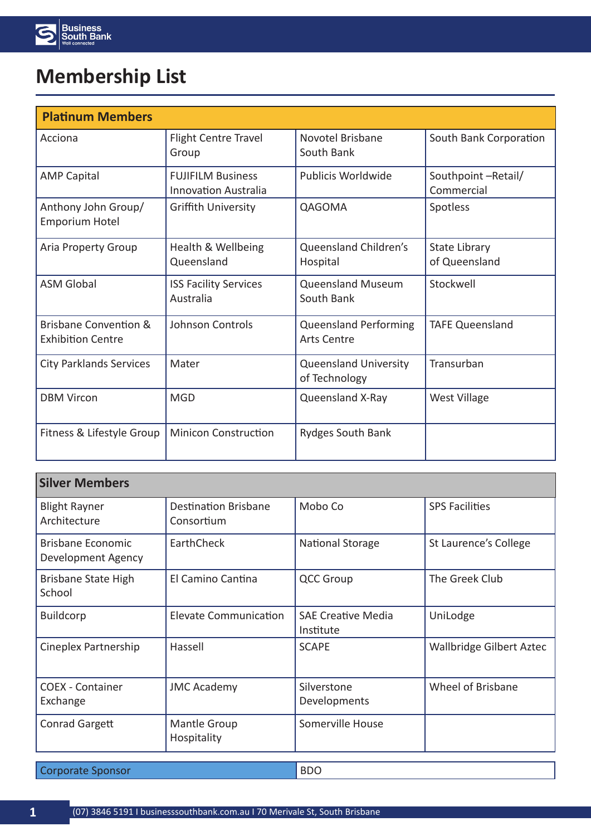

## **Membership List**

| <b>Platinum Members</b>                                      |                                                         |                                                    |                                  |
|--------------------------------------------------------------|---------------------------------------------------------|----------------------------------------------------|----------------------------------|
| Acciona                                                      | Flight Centre Travel<br>Group                           | Novotel Brisbane<br>South Bank                     | South Bank Corporation           |
| <b>AMP Capital</b>                                           | <b>FUJIFILM Business</b><br><b>Innovation Australia</b> | Publicis Worldwide                                 | Southpoint-Retail/<br>Commercial |
| Anthony John Group/<br><b>Emporium Hotel</b>                 | <b>Griffith University</b>                              | QAGOMA                                             | Spotless                         |
| Aria Property Group                                          | Health & Wellbeing<br>Queensland                        | Queensland Children's<br>Hospital                  | State Library<br>of Queensland   |
| <b>ASM Global</b>                                            | <b>ISS Facility Services</b><br>Australia               | <b>Queensland Museum</b><br>South Bank             | Stockwell                        |
| <b>Brisbane Convention &amp;</b><br><b>Exhibition Centre</b> | <b>Johnson Controls</b>                                 | <b>Queensland Performing</b><br><b>Arts Centre</b> | <b>TAFE Queensland</b>           |
| <b>City Parklands Services</b>                               | Mater                                                   | <b>Queensland University</b><br>of Technology      | Transurban                       |
| <b>DBM Vircon</b>                                            | <b>MGD</b>                                              | Queensland X-Ray                                   | <b>West Village</b>              |
| Fitness & Lifestyle Group                                    | <b>Minicon Construction</b>                             | <b>Rydges South Bank</b>                           |                                  |

| <b>Silver Members</b>                          |                                           |                                        |                                 |
|------------------------------------------------|-------------------------------------------|----------------------------------------|---------------------------------|
| <b>Blight Rayner</b><br>Architecture           | <b>Destination Brisbane</b><br>Consortium | Mobo Co                                | <b>SPS Facilities</b>           |
| <b>Brisbane Economic</b><br>Development Agency | EarthCheck                                | National Storage                       | St Laurence's College           |
| <b>Brisbane State High</b><br>School           | El Camino Cantina                         | <b>QCC Group</b>                       | The Greek Club                  |
| <b>Buildcorp</b>                               | <b>Elevate Communication</b>              | <b>SAE Creative Media</b><br>Institute | UniLodge                        |
| Cineplex Partnership                           | Hassell                                   | <b>SCAPE</b>                           | <b>Wallbridge Gilbert Aztec</b> |
| <b>COEX - Container</b><br>Exchange            | <b>JMC Academy</b>                        | Silverstone<br>Developments            | Wheel of Brisbane               |
| Conrad Gargett                                 | <b>Mantle Group</b><br>Hospitality        | Somerville House                       |                                 |

**Corporate Sponsor** BDO